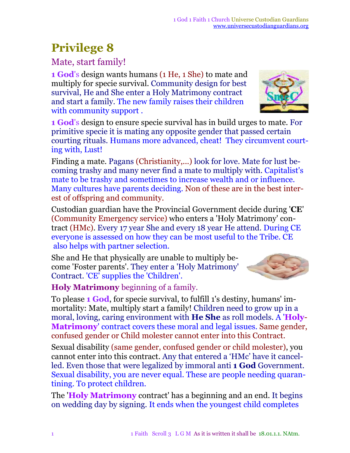## **Privilege 8**

#### Mate, start family!

**1 God**'s design wants humans (1 He, 1 She) to mate and multiply for specie survival. Community design for best survival, He and She enter a Holy Matrimony contract and start a family. The new family raises their children with community support .

**1 God**'s design to ensure specie survival has in build urges to mate. For primitive specie it is mating any opposite gender that passed certain courting rituals. Humans more advanced, cheat! They circumvent courting with, Lust!

Finding a mate. Pagans (Christianity,...) look for love. Mate for lust becoming trashy and many never find a mate to multiply with. Capitalist's mate to be trashy and sometimes to increase wealth and or influence. Many cultures have parents deciding. Non of these are in the best interest of offspring and community.

Custodian guardian have the Provincial Government decide during '**CE**' (Community Emergency service) who enters a 'Holy Matrimony' contract (HMc). Every 17 year She and every 18 year He attend. During CE everyone is assessed on how they can be most useful to the Tribe. CE also helps with partner selection.

She and He that physically are unable to multiply become 'Foster parents'. They enter a 'Holy Matrimony' Contract. 'CE' supplies the 'Children'.

**Holy Matrimony** beginning of a family.

To please **1 God**, for specie survival, to fulfill 1's destiny, humans' immortality: Mate, multiply start a family! Children need to grow up in a moral, loving, caring environment with **He She** as roll models. A '**Holy**-**Matrimony**' contract covers these moral and legal issues. Same gender, confused gender or Child molester cannot enter into this Contract.

Sexual disability (same gender, confused gender or child molester), you cannot enter into this contract. Any that entered a 'HMc' have it cancelled. Even those that were legalized by immoral anti **1 God** Government. Sexual disability, you are never equal. These are people needing quarantining. To protect children.

The '**Holy Matrimony** contract' has a beginning and an end. It begins on wedding day by signing. It ends when the youngest child completes



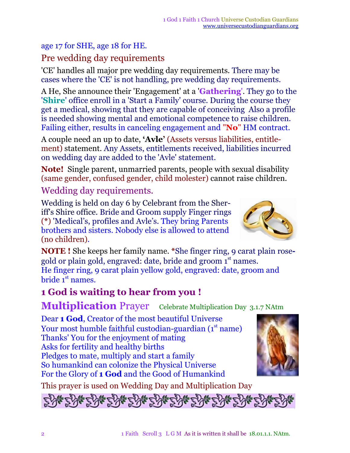#### age 17 for SHE, age 18 for HE.

#### Pre wedding day requirements

'CE' handles all major pre wedding day requirements. There may be cases where the 'CE' is not handling, pre wedding day requirements.

A He, She announce their 'Engagement' at a '**Gathering**'. They go to the '**Shire**' office enroll in a 'Start a Family' course. During the course they get a medical, showing that they are capable of conceiving Also a profile is needed showing mental and emotional competence to raise children. Failing either, results in canceling engagement and "**No**" HM contract.

A couple need an up to date, **'Avle'** (Assets versus liabilities, entitlement) statement. Any Assets, entitlements received, liabilities incurred on wedding day are added to the 'Avle' statement.

**Note!** Single parent, unmarried parents, people with sexual disability (same gender, confused gender, child molester) cannot raise children.

Wedding day requirements.

Wedding is held on day 6 by Celebrant from the Sheriff's Shire office. Bride and Groom supply Finger rings (**\***) 'Medical's, profiles and Avle's. They bring Parents brothers and sisters. Nobody else is allowed to attend (no children).

**NOTE !** She keeps her family name. **\***She finger ring, 9 carat plain rosegold or plain gold, engraved: date, bride and groom 1st names. He finger ring, 9 carat plain yellow gold, engraved: date, groom and bride 1<sup>st</sup> names.

#### **1 God is waiting to hear from you !**

**Multiplication** Prayer Celebrate Multiplication Day 3.1.7 NAtm

Dear **1 God**, Creator of the most beautiful Universe Your most humble faithful custodian-guardian (1st name) Thanks' You for the enjoyment of mating Asks for fertility and healthy births Pledges to mate, multiply and start a family So humankind can colonize the Physical Universe For the Glory of **1 God** and the Good of Humankind

This prayer is used on Wedding Day and Multiplication Day



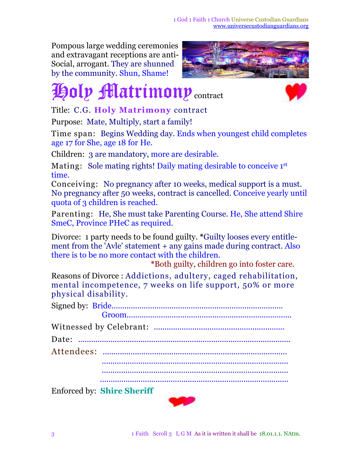1 God 1 Faith 1 Church Universe Custodian Guardians [www.universecustodianguardians.org](http://www.universecustodianguardians.org)

Pompous large wedding ceremonies and extravagant receptions are anti-Social, arrogant. They are shunned by the community. Shun, Shame!



# **Holy Matrimony** contract



Title: C.G. **Holy Matrimony** contract

Purpose: Mate, Multiply, start a family!

Time span: Begins Wedding day. Ends when youngest child completes age 17 for She, age 18 for He.

Children: 3 are mandatory, more are desirable.

Mating: Sole mating rights! Daily mating desirable to conceive 1st time.

Conceiving: No pregnancy after 10 weeks, medical support is a must. No pregnancy after 50 weeks, contract is cancelled. Conceive yearly until quota of 3 children is reached.

Parenting: He, She must take Parenting Course. He, She attend Shire SmeC, Province PHeC as required.

Divorce: 1 party needs to be found guilty. **\***Guilty looses every entitlement from the 'Avle' statement + any gains made during contract. Also there is to be no more contact with the children.

**\***Both guilty, children go into foster care.

Reasons of Divorce : Addictions, adultery, caged rehabilitation, mental incompetence, 7 weeks on life support, 50% or more physical disability.

| Enforced by China Chaniff |
|---------------------------|

Enforced by: **Shire Sheriff**

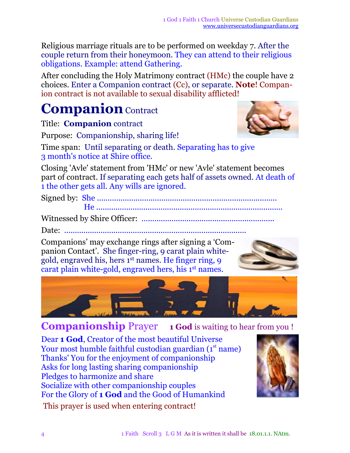Religious marriage rituals are to be performed on weekday 7. After the couple return from their honeymoon. They can attend to their religious obligations. Example: attend Gathering.

After concluding the Holy Matrimony contract (HMc) the couple have 2 choices. Enter a Companion contract (Cc), or separate. **Note**! Companion contract is not available to sexual disability afflicted!

## **Companion** Contract

Title: **Companion** contract

Purpose: Companionship, sharing life!

Time span: Until separating or death. Separating has to give 3 month's notice at Shire office.

Closing 'Avle' statement from 'HMc' or new 'Avle' statement becomes part of contract. If separating each gets half of assets owned. At death of 1 the other gets all. Any wills are ignored.

Signed by: She .................................................................................... He .......................................................................................

Witnessed by Shire Officer: *…...........................................................*

Date: *.....................................................................................*

Companions' may exchange rings after signing a 'Companion Contact'. She finger-ring, 9 carat plain whitegold, engraved his, hers 1<sup>st</sup> names. He finger ring, 9 carat plain white-gold, engraved hers, his 1<sup>st</sup> names.







**Companionship** Prayer **1 God** is waiting to hear from you !

Dear **1 God**, Creator of the most beautiful Universe Your most humble faithful custodian guardian (1<sup>st</sup> name) Thanks' You for the enjoyment of companionship Asks for long lasting sharing companionship Pledges to harmonize and share Socialize with other companionship couples For the Glory of **1 God** and the Good of Humankind This prayer is used when entering contract!

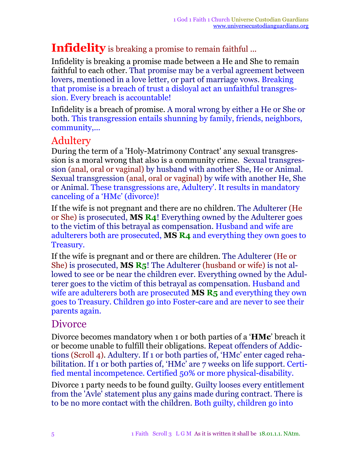#### **Infidelity** is breaking a promise to remain faithful ...

Infidelity is breaking a promise made between a He and She to remain faithful to each other. That promise may be a verbal agreement between lovers, mentioned in a love letter, or part of marriage vows. Breaking that promise is a breach of trust a disloyal act an unfaithful transgression. Every breach is accountable!

Infidelity is a breach of promise. A moral wrong by either a He or She or both. This transgression entails shunning by family, friends, neighbors, community,...

#### Adultery

During the term of a 'Holy-Matrimony Contract' any sexual transgression is a moral wrong that also is a community crime. Sexual transgression (anal, oral or vaginal) by husband with another She, He or Animal. Sexual transgression (anal, oral or vaginal) by wife with another He, She or Animal. These transgressions are, Adultery'. It results in mandatory canceling of a 'HMc' (divorce)!

If the wife is not pregnant and there are no children. The Adulterer (He or She) is prosecuted, **MS R4**! Everything owned by the Adulterer goes to the victim of this betrayal as compensation. Husband and wife are adulterers both are prosecuted, **MS R4** and everything they own goes to Treasury.

If the wife is pregnant and or there are children. The Adulterer (He or She) is prosecuted, **MS R5**! The Adulterer (husband or wife) is not allowed to see or be near the children ever. Everything owned by the Adulterer goes to the victim of this betrayal as compensation. Husband and wife are adulterers both are prosecuted **MS R5** and everything they own goes to Treasury. Children go into Foster-care and are never to see their parents again.

#### Divorce

Divorce becomes mandatory when 1 or both parties of a '**HMc**' breach it or become unable to fulfill their obligations. Repeat offenders of Addictions (Scroll 4). Adultery*.* If 1 or both parties of, 'HMc' enter caged rehabilitation. If 1 or both parties of, 'HMc' are 7 weeks on life support. Certified mental incompetence. Certified 50% or more physical-disability.

Divorce 1 party needs to be found guilty. Guilty looses every entitlement from the 'Avle' statement plus any gains made during contract. There is to be no more contact with the children. Both guilty, children go into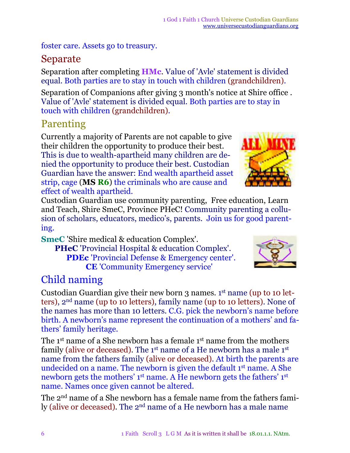foster care. Assets go to treasury.

#### Separate

Separation after completing **HMc**. Value of 'Avle' statement is divided equal. Both parties are to stay in touch with children (grandchildren).

Separation of Companions after giving 3 month's notice at Shire office . Value of 'Avle' statement is divided equal. Both parties are to stay in touch with children (grandchildren).

#### Parenting

Currently a majority of Parents are not capable to give their children the opportunity to produce their best. This is due to wealth-apartheid many children are denied the opportunity to produce their best. Custodian Guardian have the answer: End wealth apartheid asset strip, cage (**MS R6**) the criminals who are cause and effect of wealth apartheid.



Custodian Guardian use community parenting, Free education, Learn and Teach, Shire SmeC, Province PHeC! Community parenting a collusion of scholars, educators, medico's, parents. Join us for good parenting.

**SmeC** 'Shire medical & education Complex'.

**PHeC** 'Provincial Hospital & education Complex'. **PDEc** 'Provincial Defense & Emergency center'. **CE** 'Community Emergency service'



### Child naming

Custodian Guardian give their new born 3 names. 1<sup>st</sup> name (up to 10 letters), 2 nd name (up to 10 letters), family name (up to 10 letters). None of the names has more than 10 letters. C.G. pick the newborn's name before birth. A newborn's name represent the continuation of a mothers' and fathers' family heritage.

The 1<sup>st</sup> name of a She newborn has a female 1<sup>st</sup> name from the mothers family (alive or deceased). The 1<sup>st</sup> name of a He newborn has a male 1<sup>st</sup> name from the fathers family (alive or deceased). At birth the parents are undecided on a name. The newborn is given the default 1<sup>st</sup> name. A She newborn gets the mothers' 1<sup>st</sup> name. A He newborn gets the fathers' 1<sup>st</sup> name. Names once given cannot be altered.

The 2<sup>nd</sup> name of a She newborn has a female name from the fathers family (alive or deceased). The 2<sup>nd</sup> name of a He newborn has a male name